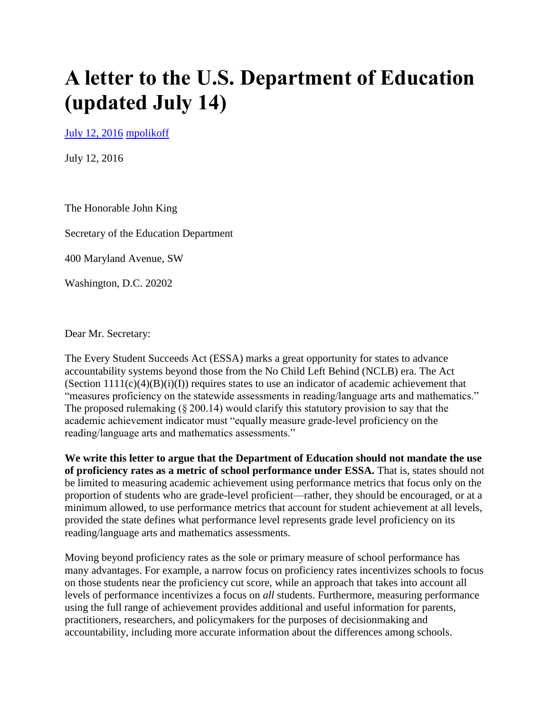# **A letter to the U.S. Department of Education (updated July 14)**

[July 12, 2016](https://morganpolikoff.com/2016/07/12/a-letter-to-the-u-s-department-of-education/) [mpolikoff](https://morganpolikoff.com/author/mpolikoff/)

July 12, 2016

The Honorable John King

Secretary of the Education Department

400 Maryland Avenue, SW

Washington, D.C. 20202

Dear Mr. Secretary:

The Every Student Succeeds Act (ESSA) marks a great opportunity for states to advance accountability systems beyond those from the No Child Left Behind (NCLB) era. The Act (Section  $1111(c)(4)(B)(i)(I))$  requires states to use an indicator of academic achievement that "measures proficiency on the statewide assessments in reading/language arts and mathematics." The proposed rulemaking (§ 200.14) would clarify this statutory provision to say that the academic achievement indicator must "equally measure grade-level proficiency on the reading/language arts and mathematics assessments."

**We write this letter to argue that the Department of Education should not mandate the use of proficiency rates as a metric of school performance under ESSA.** That is, states should not be limited to measuring academic achievement using performance metrics that focus only on the proportion of students who are grade-level proficient—rather, they should be encouraged, or at a minimum allowed, to use performance metrics that account for student achievement at all levels, provided the state defines what performance level represents grade level proficiency on its reading/language arts and mathematics assessments.

Moving beyond proficiency rates as the sole or primary measure of school performance has many advantages. For example, a narrow focus on proficiency rates incentivizes schools to focus on those students near the proficiency cut score, while an approach that takes into account all levels of performance incentivizes a focus on *all* students. Furthermore, measuring performance using the full range of achievement provides additional and useful information for parents, practitioners, researchers, and policymakers for the purposes of decisionmaking and accountability, including more accurate information about the differences among schools.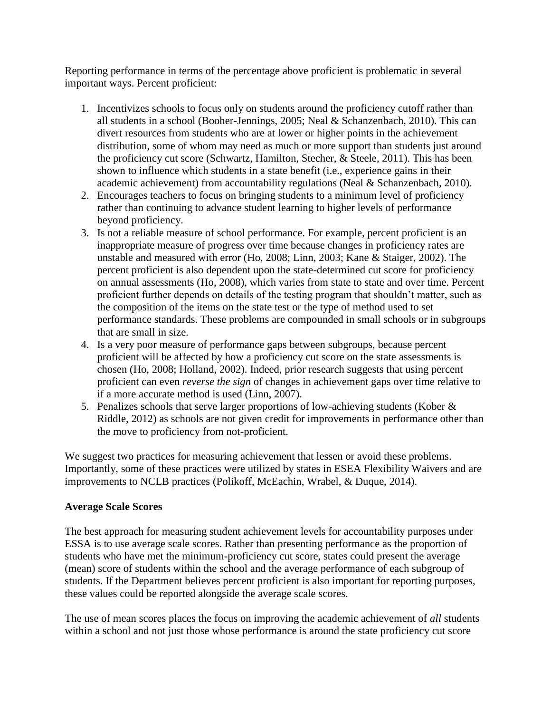Reporting performance in terms of the percentage above proficient is problematic in several important ways. Percent proficient:

- 1. Incentivizes schools to focus only on students around the proficiency cutoff rather than all students in a school (Booher-Jennings, 2005; Neal & Schanzenbach, 2010). This can divert resources from students who are at lower or higher points in the achievement distribution, some of whom may need as much or more support than students just around the proficiency cut score (Schwartz, Hamilton, Stecher, & Steele, 2011). This has been shown to influence which students in a state benefit (i.e., experience gains in their academic achievement) from accountability regulations (Neal & Schanzenbach, 2010).
- 2. Encourages teachers to focus on bringing students to a minimum level of proficiency rather than continuing to advance student learning to higher levels of performance beyond proficiency.
- 3. Is not a reliable measure of school performance. For example, percent proficient is an inappropriate measure of progress over time because changes in proficiency rates are unstable and measured with error (Ho, 2008; Linn, 2003; Kane & Staiger, 2002). The percent proficient is also dependent upon the state-determined cut score for proficiency on annual assessments (Ho, 2008), which varies from state to state and over time. Percent proficient further depends on details of the testing program that shouldn't matter, such as the composition of the items on the state test or the type of method used to set performance standards. These problems are compounded in small schools or in subgroups that are small in size.
- 4. Is a very poor measure of performance gaps between subgroups, because percent proficient will be affected by how a proficiency cut score on the state assessments is chosen (Ho, 2008; Holland, 2002). Indeed, prior research suggests that using percent proficient can even *reverse the sign* of changes in achievement gaps over time relative to if a more accurate method is used (Linn, 2007).
- 5. Penalizes schools that serve larger proportions of low-achieving students (Kober & Riddle, 2012) as schools are not given credit for improvements in performance other than the move to proficiency from not-proficient.

We suggest two practices for measuring achievement that lessen or avoid these problems. Importantly, some of these practices were utilized by states in ESEA Flexibility Waivers and are improvements to NCLB practices (Polikoff, McEachin, Wrabel, & Duque, 2014).

## **Average Scale Scores**

The best approach for measuring student achievement levels for accountability purposes under ESSA is to use average scale scores. Rather than presenting performance as the proportion of students who have met the minimum-proficiency cut score, states could present the average (mean) score of students within the school and the average performance of each subgroup of students. If the Department believes percent proficient is also important for reporting purposes, these values could be reported alongside the average scale scores.

The use of mean scores places the focus on improving the academic achievement of *all* students within a school and not just those whose performance is around the state proficiency cut score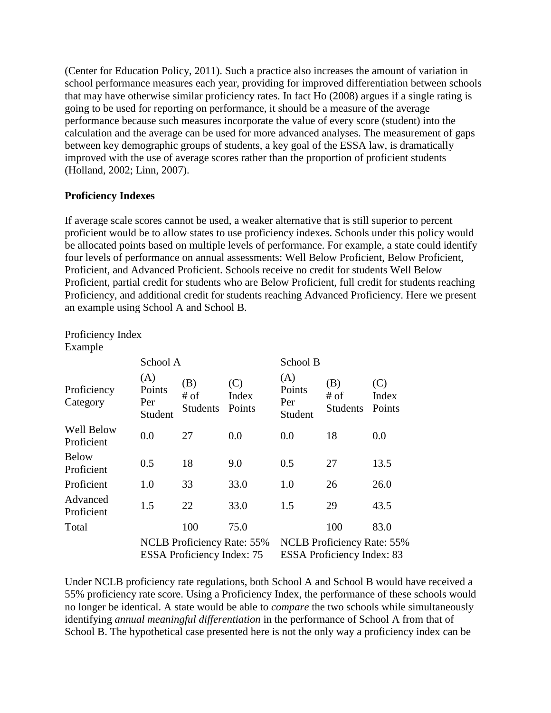(Center for Education Policy, 2011). Such a practice also increases the amount of variation in school performance measures each year, providing for improved differentiation between schools that may have otherwise similar proficiency rates. In fact Ho (2008) argues if a single rating is going to be used for reporting on performance, it should be a measure of the average performance because such measures incorporate the value of every score (student) into the calculation and the average can be used for more advanced analyses. The measurement of gaps between key demographic groups of students, a key goal of the ESSA law, is dramatically improved with the use of average scores rather than the proportion of proficient students (Holland, 2002; Linn, 2007).

## **Proficiency Indexes**

If average scale scores cannot be used, a weaker alternative that is still superior to percent proficient would be to allow states to use proficiency indexes. Schools under this policy would be allocated points based on multiple levels of performance. For example, a state could identify four levels of performance on annual assessments: Well Below Proficient, Below Proficient, Proficient, and Advanced Proficient. Schools receive no credit for students Well Below Proficient, partial credit for students who are Below Proficient, full credit for students reaching Proficiency, and additional credit for students reaching Advanced Proficiency. Here we present an example using School A and School B.

Proficiency Index Example

|                                 | School A                        |                                                                 |                        | School B                                                               |                                  |                        |
|---------------------------------|---------------------------------|-----------------------------------------------------------------|------------------------|------------------------------------------------------------------------|----------------------------------|------------------------|
| Proficiency<br>Category         | (A)<br>Points<br>Per<br>Student | (B)<br>$#$ of<br><b>Students</b>                                | (C)<br>Index<br>Points | (A)<br>Points<br>Per<br>Student                                        | (B)<br>$#$ of<br><b>Students</b> | (C)<br>Index<br>Points |
| <b>Well Below</b><br>Proficient | 0.0                             | 27                                                              | 0.0                    | 0.0                                                                    | 18                               | 0.0                    |
| <b>Below</b><br>Proficient      | 0.5                             | 18                                                              | 9.0                    | 0.5                                                                    | 27                               | 13.5                   |
| Proficient                      | 1.0                             | 33                                                              | 33.0                   | 1.0                                                                    | 26                               | 26.0                   |
| Advanced<br>Proficient          | 1.5                             | 22                                                              | 33.0                   | 1.5                                                                    | 29                               | 43.5                   |
| Total                           |                                 | 100                                                             | 75.0                   |                                                                        | 100                              | 83.0                   |
|                                 |                                 | NCLB Proficiency Rate: 55%<br><b>ESSA</b> Proficiency Index: 75 |                        | <b>NCLB</b> Proficiency Rate: 55%<br><b>ESSA Proficiency Index: 83</b> |                                  |                        |

Under NCLB proficiency rate regulations, both School A and School B would have received a 55% proficiency rate score. Using a Proficiency Index, the performance of these schools would no longer be identical. A state would be able to *compare* the two schools while simultaneously identifying *annual meaningful differentiation* in the performance of School A from that of School B. The hypothetical case presented here is not the only way a proficiency index can be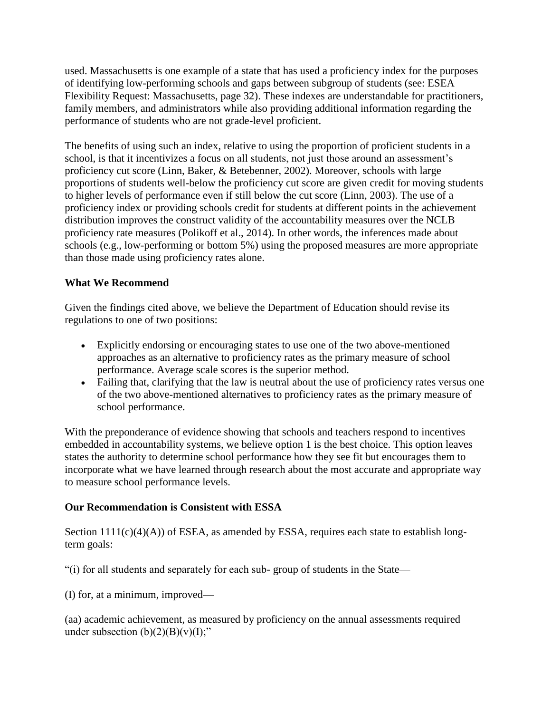used. Massachusetts is one example of a state that has used a proficiency index for the purposes of identifying low-performing schools and gaps between subgroup of students (see: ESEA Flexibility Request: Massachusetts, page 32). These indexes are understandable for practitioners, family members, and administrators while also providing additional information regarding the performance of students who are not grade-level proficient.

The benefits of using such an index, relative to using the proportion of proficient students in a school, is that it incentivizes a focus on all students, not just those around an assessment's proficiency cut score (Linn, Baker, & Betebenner, 2002). Moreover, schools with large proportions of students well-below the proficiency cut score are given credit for moving students to higher levels of performance even if still below the cut score (Linn, 2003). The use of a proficiency index or providing schools credit for students at different points in the achievement distribution improves the construct validity of the accountability measures over the NCLB proficiency rate measures (Polikoff et al., 2014). In other words, the inferences made about schools (e.g., low-performing or bottom 5%) using the proposed measures are more appropriate than those made using proficiency rates alone.

## **What We Recommend**

Given the findings cited above, we believe the Department of Education should revise its regulations to one of two positions:

- Explicitly endorsing or encouraging states to use one of the two above-mentioned approaches as an alternative to proficiency rates as the primary measure of school performance. Average scale scores is the superior method.
- Failing that, clarifying that the law is neutral about the use of proficiency rates versus one of the two above-mentioned alternatives to proficiency rates as the primary measure of school performance.

With the preponderance of evidence showing that schools and teachers respond to incentives embedded in accountability systems, we believe option 1 is the best choice. This option leaves states the authority to determine school performance how they see fit but encourages them to incorporate what we have learned through research about the most accurate and appropriate way to measure school performance levels.

## **Our Recommendation is Consistent with ESSA**

Section  $1111(c)(4)(A)$  of ESEA, as amended by ESSA, requires each state to establish longterm goals:

"(i) for all students and separately for each sub- group of students in the State—

(I) for, at a minimum, improved—

(aa) academic achievement, as measured by proficiency on the annual assessments required under subsection  $(b)(2)(B)(v)(I);$ "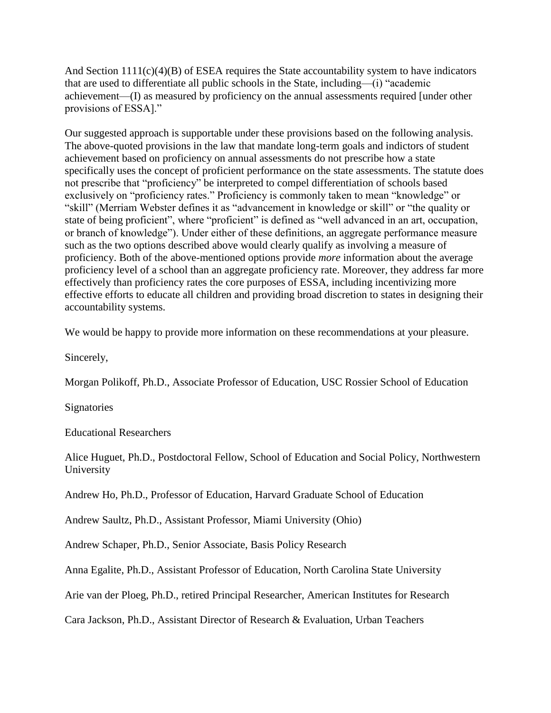And Section  $1111(c)(4)(B)$  of ESEA requires the State accountability system to have indicators that are used to differentiate all public schools in the State, including—(i) "academic achievement—(I) as measured by proficiency on the annual assessments required [under other provisions of ESSA]."

Our suggested approach is supportable under these provisions based on the following analysis. The above-quoted provisions in the law that mandate long-term goals and indictors of student achievement based on proficiency on annual assessments do not prescribe how a state specifically uses the concept of proficient performance on the state assessments. The statute does not prescribe that "proficiency" be interpreted to compel differentiation of schools based exclusively on "proficiency rates." Proficiency is commonly taken to mean "knowledge" or "skill" (Merriam Webster defines it as "advancement in knowledge or skill" or "the quality or state of being proficient", where "proficient" is defined as "well advanced in an art, occupation, or branch of knowledge"). Under either of these definitions, an aggregate performance measure such as the two options described above would clearly qualify as involving a measure of proficiency. Both of the above-mentioned options provide *more* information about the average proficiency level of a school than an aggregate proficiency rate. Moreover, they address far more effectively than proficiency rates the core purposes of ESSA, including incentivizing more effective efforts to educate all children and providing broad discretion to states in designing their accountability systems.

We would be happy to provide more information on these recommendations at your pleasure.

Sincerely,

Morgan Polikoff, Ph.D., Associate Professor of Education, USC Rossier School of Education

**Signatories** 

Educational Researchers

Alice Huguet, Ph.D., Postdoctoral Fellow, School of Education and Social Policy, Northwestern University

Andrew Ho, Ph.D., Professor of Education, Harvard Graduate School of Education

Andrew Saultz, Ph.D., Assistant Professor, Miami University (Ohio)

Andrew Schaper, Ph.D., Senior Associate, Basis Policy Research

Anna Egalite, Ph.D., Assistant Professor of Education, North Carolina State University

Arie van der Ploeg, Ph.D., retired Principal Researcher, American Institutes for Research

Cara Jackson, Ph.D., Assistant Director of Research & Evaluation, Urban Teachers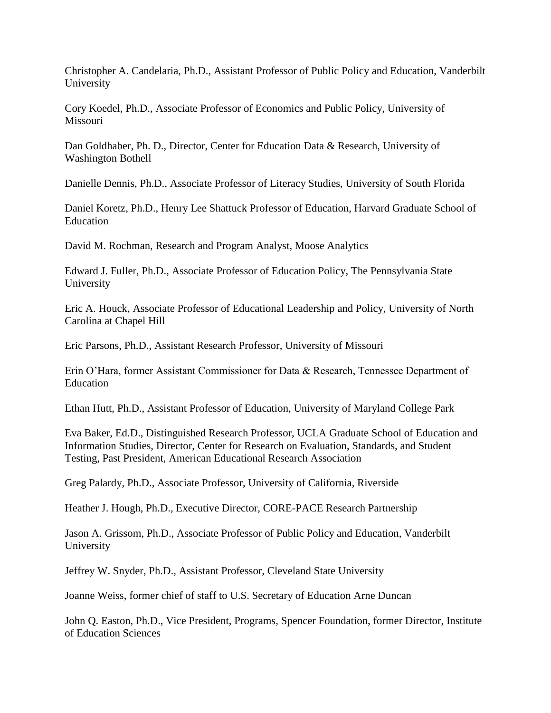Christopher A. Candelaria, Ph.D., Assistant Professor of Public Policy and Education, Vanderbilt University

Cory Koedel, Ph.D., Associate Professor of Economics and Public Policy, University of Missouri

Dan Goldhaber, Ph. D., Director, Center for Education Data & Research, University of Washington Bothell

Danielle Dennis, Ph.D., Associate Professor of Literacy Studies, University of South Florida

Daniel Koretz, Ph.D., Henry Lee Shattuck Professor of Education, Harvard Graduate School of Education

David M. Rochman, Research and Program Analyst, Moose Analytics

Edward J. Fuller, Ph.D., Associate Professor of Education Policy, The Pennsylvania State University

Eric A. Houck, Associate Professor of Educational Leadership and Policy, University of North Carolina at Chapel Hill

Eric Parsons, Ph.D., Assistant Research Professor, University of Missouri

Erin O'Hara, former Assistant Commissioner for Data & Research, Tennessee Department of Education

Ethan Hutt, Ph.D., Assistant Professor of Education, University of Maryland College Park

Eva Baker, Ed.D., Distinguished Research Professor, UCLA Graduate School of Education and Information Studies, Director, Center for Research on Evaluation, Standards, and Student Testing, Past President, American Educational Research Association

Greg Palardy, Ph.D., Associate Professor, University of California, Riverside

Heather J. Hough, Ph.D., Executive Director, CORE-PACE Research Partnership

Jason A. Grissom, Ph.D., Associate Professor of Public Policy and Education, Vanderbilt University

Jeffrey W. Snyder, Ph.D., Assistant Professor, Cleveland State University

Joanne Weiss, former chief of staff to U.S. Secretary of Education Arne Duncan

John Q. Easton, Ph.D., Vice President, Programs, Spencer Foundation, former Director, Institute of Education Sciences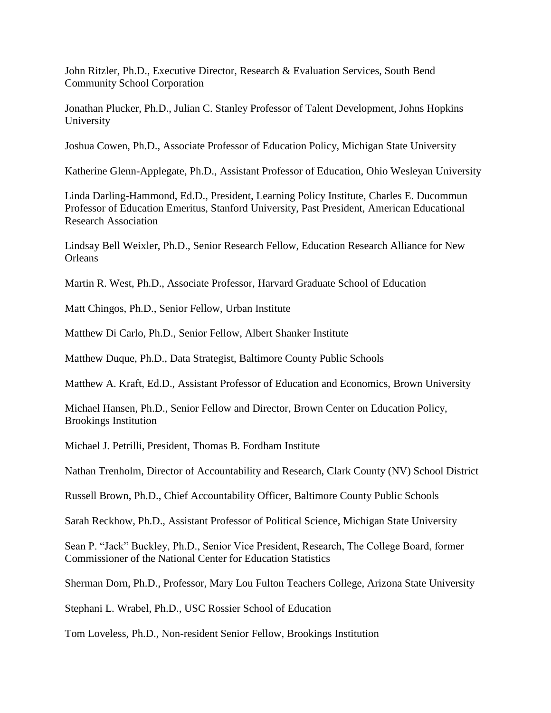John Ritzler, Ph.D., Executive Director, Research & Evaluation Services, South Bend Community School Corporation

Jonathan Plucker, Ph.D., Julian C. Stanley Professor of Talent Development, Johns Hopkins University

Joshua Cowen, Ph.D., Associate Professor of Education Policy, Michigan State University

Katherine Glenn-Applegate, Ph.D., Assistant Professor of Education, Ohio Wesleyan University

Linda Darling-Hammond, Ed.D., President, Learning Policy Institute, Charles E. Ducommun Professor of Education Emeritus, Stanford University, Past President, American Educational Research Association

Lindsay Bell Weixler, Ph.D., Senior Research Fellow, Education Research Alliance for New **Orleans** 

Martin R. West, Ph.D., Associate Professor, Harvard Graduate School of Education

Matt Chingos, Ph.D., Senior Fellow, Urban Institute

Matthew Di Carlo, Ph.D., Senior Fellow, Albert Shanker Institute

Matthew Duque, Ph.D., Data Strategist, Baltimore County Public Schools

Matthew A. Kraft, Ed.D., Assistant Professor of Education and Economics, Brown University

Michael Hansen, Ph.D., Senior Fellow and Director, Brown Center on Education Policy, Brookings Institution

Michael J. Petrilli, President, Thomas B. Fordham Institute

Nathan Trenholm, Director of Accountability and Research, Clark County (NV) School District

Russell Brown, Ph.D., Chief Accountability Officer, Baltimore County Public Schools

Sarah Reckhow, Ph.D., Assistant Professor of Political Science, Michigan State University

Sean P. "Jack" Buckley, Ph.D., Senior Vice President, Research, The College Board, former Commissioner of the National Center for Education Statistics

Sherman Dorn, Ph.D., Professor, Mary Lou Fulton Teachers College, Arizona State University

Stephani L. Wrabel, Ph.D., USC Rossier School of Education

Tom Loveless, Ph.D., Non-resident Senior Fellow, Brookings Institution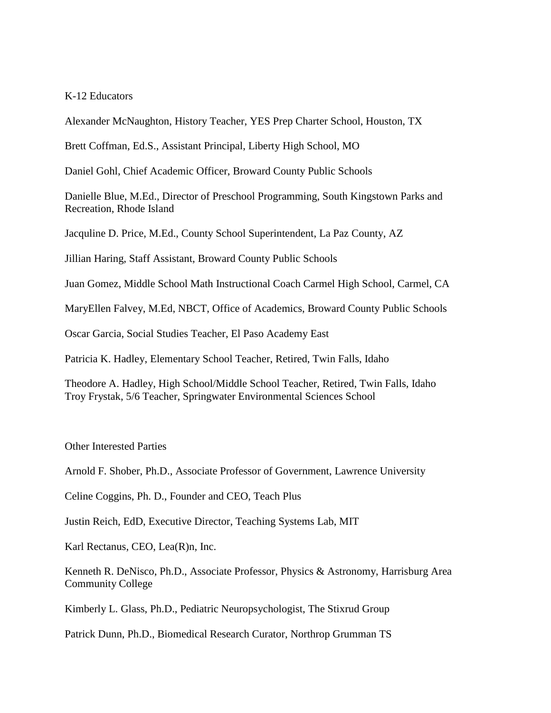### K-12 Educators

Alexander McNaughton, History Teacher, YES Prep Charter School, Houston, TX

Brett Coffman, Ed.S., Assistant Principal, Liberty High School, MO

Daniel Gohl, Chief Academic Officer, Broward County Public Schools

Danielle Blue, M.Ed., Director of Preschool Programming, South Kingstown Parks and Recreation, Rhode Island

Jacquline D. Price, M.Ed., County School Superintendent, La Paz County, AZ

Jillian Haring, Staff Assistant, Broward County Public Schools

Juan Gomez, Middle School Math Instructional Coach Carmel High School, Carmel, CA

MaryEllen Falvey, M.Ed, NBCT, Office of Academics, Broward County Public Schools

Oscar Garcia, Social Studies Teacher, El Paso Academy East

Patricia K. Hadley, Elementary School Teacher, Retired, Twin Falls, Idaho

Theodore A. Hadley, High School/Middle School Teacher, Retired, Twin Falls, Idaho Troy Frystak, 5/6 Teacher, Springwater Environmental Sciences School

Other Interested Parties

Arnold F. Shober, Ph.D., Associate Professor of Government, Lawrence University

Celine Coggins, Ph. D., Founder and CEO, Teach Plus

Justin Reich, EdD, Executive Director, Teaching Systems Lab, MIT

Karl Rectanus, CEO, Lea(R)n, Inc.

Kenneth R. DeNisco, Ph.D., Associate Professor, Physics & Astronomy, Harrisburg Area Community College

Kimberly L. Glass, Ph.D., Pediatric Neuropsychologist, The Stixrud Group

Patrick Dunn, Ph.D., Biomedical Research Curator, Northrop Grumman TS